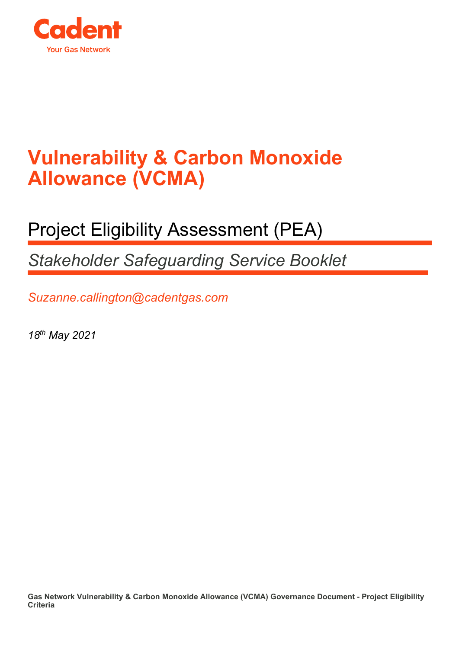

## **Vulnerability & Carbon Monoxide Allowance (VCMA)**

## Project Eligibility Assessment (PEA)

*Stakeholder Safeguarding Service Booklet*

*Suzanne.callington@cadentgas.com*

*18th May 2021*

**Gas Network Vulnerability & Carbon Monoxide Allowance (VCMA) Governance Document - Project Eligibility Criteria**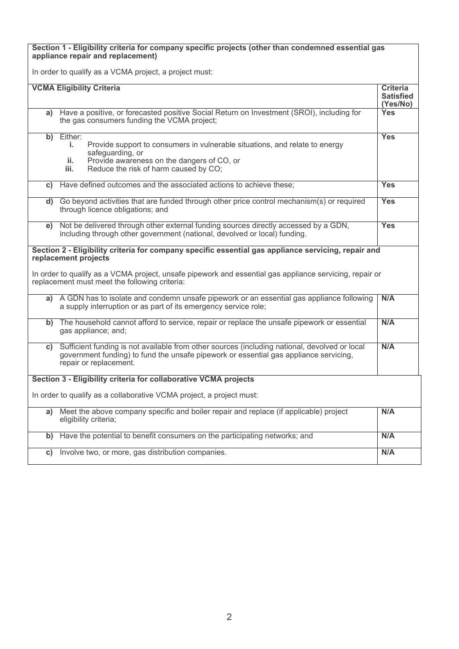**Section 1 - Eligibility criteria for company specific projects (other than condemned essential gas appliance repair and replacement)**

In order to qualify as a VCMA project, a project must:

| <b>VCMA Eligibility Criteria</b>                                                                                                                                                                                             | <b>Criteria</b><br><b>Satisfied</b><br>(Yes/No) |  |  |  |
|------------------------------------------------------------------------------------------------------------------------------------------------------------------------------------------------------------------------------|-------------------------------------------------|--|--|--|
| Have a positive, or forecasted positive Social Return on Investment (SROI), including for<br>a)<br>the gas consumers funding the VCMA project;                                                                               | Yes                                             |  |  |  |
| Either:<br>b)<br>Provide support to consumers in vulnerable situations, and relate to energy<br>i.<br>safeguarding, or<br>Provide awareness on the dangers of CO, or<br>ii.<br>Reduce the risk of harm caused by CO;<br>iii. | <b>Yes</b>                                      |  |  |  |
| Have defined outcomes and the associated actions to achieve these;<br>c)                                                                                                                                                     | <b>Yes</b>                                      |  |  |  |
| d) Go beyond activities that are funded through other price control mechanism(s) or required<br>through licence obligations; and                                                                                             | Yes                                             |  |  |  |
| Not be delivered through other external funding sources directly accessed by a GDN,<br>e)<br>including through other government (national, devolved or local) funding.                                                       | <b>Yes</b>                                      |  |  |  |
| Section 2 - Eligibility criteria for company specific essential gas appliance servicing, repair and<br>replacement projects                                                                                                  |                                                 |  |  |  |
| In order to qualify as a VCMA project, unsafe pipework and essential gas appliance servicing, repair or<br>replacement must meet the following criteria:                                                                     |                                                 |  |  |  |
| A GDN has to isolate and condemn unsafe pipework or an essential gas appliance following<br>a)<br>a supply interruption or as part of its emergency service role;                                                            | N/A                                             |  |  |  |
| The household cannot afford to service, repair or replace the unsafe pipework or essential<br>b)<br>gas appliance; and;                                                                                                      | N/A                                             |  |  |  |
| Sufficient funding is not available from other sources (including national, devolved or local<br>C)<br>government funding) to fund the unsafe pipework or essential gas appliance servicing,<br>repair or replacement.       | N/A                                             |  |  |  |
| Section 3 - Eligibility criteria for collaborative VCMA projects                                                                                                                                                             |                                                 |  |  |  |
| In order to qualify as a collaborative VCMA project, a project must:                                                                                                                                                         |                                                 |  |  |  |
| Meet the above company specific and boiler repair and replace (if applicable) project<br>a)<br>eligibility criteria;                                                                                                         | N/A                                             |  |  |  |
| Have the potential to benefit consumers on the participating networks; and<br>b)                                                                                                                                             | N/A                                             |  |  |  |
| Involve two, or more, gas distribution companies.<br>C)                                                                                                                                                                      | N/A                                             |  |  |  |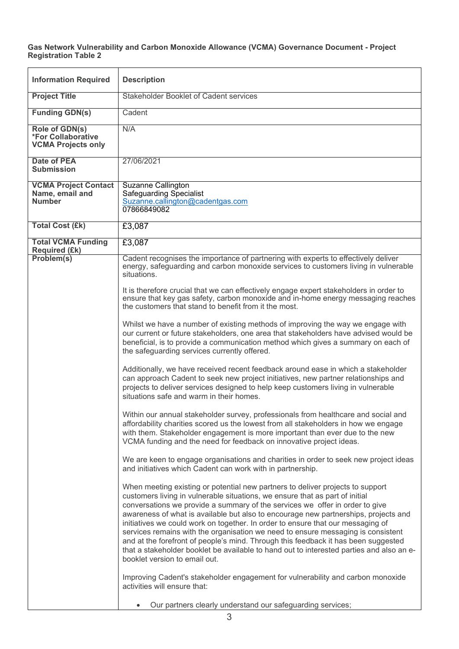## **Gas Network Vulnerability and Carbon Monoxide Allowance (VCMA) Governance Document - Project Registration Table 2**

| <b>Information Required</b>                                              | <b>Description</b>                                                                                                                                                                                                                                                                                                                                                                                                                                                                                                                                                                                                                                                                                                              |  |  |
|--------------------------------------------------------------------------|---------------------------------------------------------------------------------------------------------------------------------------------------------------------------------------------------------------------------------------------------------------------------------------------------------------------------------------------------------------------------------------------------------------------------------------------------------------------------------------------------------------------------------------------------------------------------------------------------------------------------------------------------------------------------------------------------------------------------------|--|--|
| <b>Project Title</b>                                                     | Stakeholder Booklet of Cadent services                                                                                                                                                                                                                                                                                                                                                                                                                                                                                                                                                                                                                                                                                          |  |  |
| <b>Funding GDN(s)</b>                                                    | Cadent                                                                                                                                                                                                                                                                                                                                                                                                                                                                                                                                                                                                                                                                                                                          |  |  |
| Role of GDN(s)<br><b>*For Collaborative</b><br><b>VCMA Projects only</b> | N/A                                                                                                                                                                                                                                                                                                                                                                                                                                                                                                                                                                                                                                                                                                                             |  |  |
| <b>Date of PEA</b><br><b>Submission</b>                                  | 27/06/2021                                                                                                                                                                                                                                                                                                                                                                                                                                                                                                                                                                                                                                                                                                                      |  |  |
| <b>VCMA Project Contact</b><br>Name, email and<br><b>Number</b>          | <b>Suzanne Callington</b><br><b>Safeguarding Specialist</b><br>Suzanne.callington@cadentgas.com<br>07866849082                                                                                                                                                                                                                                                                                                                                                                                                                                                                                                                                                                                                                  |  |  |
| <b>Total Cost (£k)</b>                                                   | £3,087                                                                                                                                                                                                                                                                                                                                                                                                                                                                                                                                                                                                                                                                                                                          |  |  |
| <b>Total VCMA Funding</b><br>Required (£k)                               | £3,087                                                                                                                                                                                                                                                                                                                                                                                                                                                                                                                                                                                                                                                                                                                          |  |  |
| Problem(s)                                                               | Cadent recognises the importance of partnering with experts to effectively deliver<br>energy, safeguarding and carbon monoxide services to customers living in vulnerable<br>situations.                                                                                                                                                                                                                                                                                                                                                                                                                                                                                                                                        |  |  |
|                                                                          | It is therefore crucial that we can effectively engage expert stakeholders in order to<br>ensure that key gas safety, carbon monoxide and in-home energy messaging reaches<br>the customers that stand to benefit from it the most.                                                                                                                                                                                                                                                                                                                                                                                                                                                                                             |  |  |
|                                                                          | Whilst we have a number of existing methods of improving the way we engage with<br>our current or future stakeholders, one area that stakeholders have advised would be<br>beneficial, is to provide a communication method which gives a summary on each of<br>the safeguarding services currently offered.                                                                                                                                                                                                                                                                                                                                                                                                                    |  |  |
|                                                                          | Additionally, we have received recent feedback around ease in which a stakeholder<br>can approach Cadent to seek new project initiatives, new partner relationships and<br>projects to deliver services designed to help keep customers living in vulnerable<br>situations safe and warm in their homes.                                                                                                                                                                                                                                                                                                                                                                                                                        |  |  |
|                                                                          | Within our annual stakeholder survey, professionals from healthcare and social and<br>affordability charities scored us the lowest from all stakeholders in how we engage<br>with them. Stakeholder engagement is more important than ever due to the new<br>VCMA funding and the need for feedback on innovative project ideas.                                                                                                                                                                                                                                                                                                                                                                                                |  |  |
|                                                                          | We are keen to engage organisations and charities in order to seek new project ideas<br>and initiatives which Cadent can work with in partnership.                                                                                                                                                                                                                                                                                                                                                                                                                                                                                                                                                                              |  |  |
|                                                                          | When meeting existing or potential new partners to deliver projects to support<br>customers living in vulnerable situations, we ensure that as part of initial<br>conversations we provide a summary of the services we offer in order to give<br>awareness of what is available but also to encourage new partnerships, projects and<br>initiatives we could work on together. In order to ensure that our messaging of<br>services remains with the organisation we need to ensure messaging is consistent<br>and at the forefront of people's mind. Through this feedback it has been suggested<br>that a stakeholder booklet be available to hand out to interested parties and also an e-<br>booklet version to email out. |  |  |
|                                                                          | Improving Cadent's stakeholder engagement for vulnerability and carbon monoxide<br>activities will ensure that:                                                                                                                                                                                                                                                                                                                                                                                                                                                                                                                                                                                                                 |  |  |
|                                                                          | Our partners clearly understand our safeguarding services;                                                                                                                                                                                                                                                                                                                                                                                                                                                                                                                                                                                                                                                                      |  |  |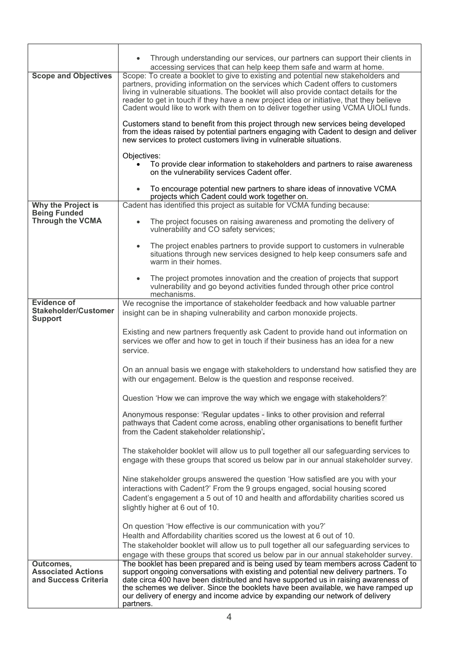|                                                                      | Through understanding our services, our partners can support their clients in<br>accessing services that can help keep them safe and warm at home.                                                                                                                                                                                                                                                                                                                                                                                                                                                                                                                                                                                                                                                                                                  |  |  |  |
|----------------------------------------------------------------------|-----------------------------------------------------------------------------------------------------------------------------------------------------------------------------------------------------------------------------------------------------------------------------------------------------------------------------------------------------------------------------------------------------------------------------------------------------------------------------------------------------------------------------------------------------------------------------------------------------------------------------------------------------------------------------------------------------------------------------------------------------------------------------------------------------------------------------------------------------|--|--|--|
| <b>Scope and Objectives</b>                                          | Scope: To create a booklet to give to existing and potential new stakeholders and<br>partners, providing information on the services which Cadent offers to customers<br>living in vulnerable situations. The booklet will also provide contact details for the<br>reader to get in touch if they have a new project idea or initiative, that they believe<br>Cadent would like to work with them on to deliver together using VCMA UIOLI funds.<br>Customers stand to benefit from this project through new services being developed<br>from the ideas raised by potential partners engaging with Cadent to design and deliver<br>new services to protect customers living in vulnerable situations.<br>Objectives:<br>To provide clear information to stakeholders and partners to raise awareness<br>on the vulnerability services Cadent offer. |  |  |  |
|                                                                      |                                                                                                                                                                                                                                                                                                                                                                                                                                                                                                                                                                                                                                                                                                                                                                                                                                                     |  |  |  |
|                                                                      |                                                                                                                                                                                                                                                                                                                                                                                                                                                                                                                                                                                                                                                                                                                                                                                                                                                     |  |  |  |
|                                                                      |                                                                                                                                                                                                                                                                                                                                                                                                                                                                                                                                                                                                                                                                                                                                                                                                                                                     |  |  |  |
|                                                                      | To encourage potential new partners to share ideas of innovative VCMA<br>projects which Cadent could work together on.                                                                                                                                                                                                                                                                                                                                                                                                                                                                                                                                                                                                                                                                                                                              |  |  |  |
| Why the Project is<br><b>Being Funded</b><br><b>Through the VCMA</b> | Cadent has identified this project as suitable for VCMA funding because:                                                                                                                                                                                                                                                                                                                                                                                                                                                                                                                                                                                                                                                                                                                                                                            |  |  |  |
|                                                                      | The project focuses on raising awareness and promoting the delivery of<br>$\bullet$<br>vulnerability and CO safety services;                                                                                                                                                                                                                                                                                                                                                                                                                                                                                                                                                                                                                                                                                                                        |  |  |  |
|                                                                      | The project enables partners to provide support to customers in vulnerable<br>situations through new services designed to help keep consumers safe and<br>warm in their homes.                                                                                                                                                                                                                                                                                                                                                                                                                                                                                                                                                                                                                                                                      |  |  |  |
|                                                                      | The project promotes innovation and the creation of projects that support<br>vulnerability and go beyond activities funded through other price control<br>mechanisms.                                                                                                                                                                                                                                                                                                                                                                                                                                                                                                                                                                                                                                                                               |  |  |  |
| <b>Evidence of</b><br><b>Stakeholder/Customer</b><br><b>Support</b>  | We recognise the importance of stakeholder feedback and how valuable partner<br>insight can be in shaping vulnerability and carbon monoxide projects.                                                                                                                                                                                                                                                                                                                                                                                                                                                                                                                                                                                                                                                                                               |  |  |  |
|                                                                      | Existing and new partners frequently ask Cadent to provide hand out information on<br>services we offer and how to get in touch if their business has an idea for a new<br>service.                                                                                                                                                                                                                                                                                                                                                                                                                                                                                                                                                                                                                                                                 |  |  |  |
|                                                                      | On an annual basis we engage with stakeholders to understand how satisfied they are<br>with our engagement. Below is the question and response received.                                                                                                                                                                                                                                                                                                                                                                                                                                                                                                                                                                                                                                                                                            |  |  |  |
|                                                                      | Question 'How we can improve the way which we engage with stakeholders?'                                                                                                                                                                                                                                                                                                                                                                                                                                                                                                                                                                                                                                                                                                                                                                            |  |  |  |
|                                                                      | Anonymous response: 'Regular updates - links to other provision and referral<br>pathways that Cadent come across, enabling other organisations to benefit further<br>from the Cadent stakeholder relationship'.                                                                                                                                                                                                                                                                                                                                                                                                                                                                                                                                                                                                                                     |  |  |  |
|                                                                      | The stakeholder booklet will allow us to pull together all our safeguarding services to<br>engage with these groups that scored us below par in our annual stakeholder survey.<br>Nine stakeholder groups answered the question 'How satisfied are you with your<br>interactions with Cadent?' From the 9 groups engaged, social housing scored<br>Cadent's engagement a 5 out of 10 and health and affordability charities scored us<br>slightly higher at 6 out of 10.                                                                                                                                                                                                                                                                                                                                                                            |  |  |  |
|                                                                      |                                                                                                                                                                                                                                                                                                                                                                                                                                                                                                                                                                                                                                                                                                                                                                                                                                                     |  |  |  |
|                                                                      | On question 'How effective is our communication with you?'<br>Health and Affordability charities scored us the lowest at 6 out of 10.<br>The stakeholder booklet will allow us to pull together all our safeguarding services to<br>engage with these groups that scored us below par in our annual stakeholder survey.                                                                                                                                                                                                                                                                                                                                                                                                                                                                                                                             |  |  |  |
| Outcomes,<br><b>Associated Actions</b><br>and Success Criteria       | The booklet has been prepared and is being used by team members across Cadent to<br>support ongoing conversations with existing and potential new delivery partners. To<br>date circa 400 have been distributed and have supported us in raising awareness of<br>the schemes we deliver. Since the booklets have been available, we have ramped up<br>our delivery of energy and income advice by expanding our network of delivery<br>partners.                                                                                                                                                                                                                                                                                                                                                                                                    |  |  |  |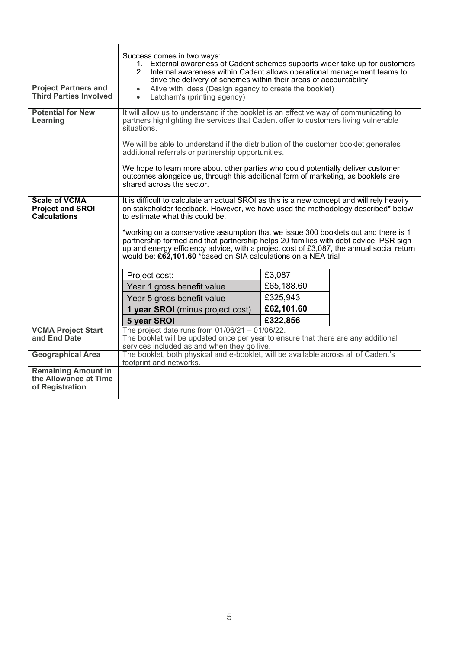| <b>Project Partners and</b><br><b>Third Parties Involved</b>           | Success comes in two ways:<br>1. External awareness of Cadent schemes supports wider take up for customers<br>2. Internal awareness within Cadent allows operational management teams to<br>drive the delivery of schemes within their areas of accountability<br>Alive with Ideas (Design agency to create the booklet)<br>$\bullet$<br>Latcham's (printing agency)<br>$\bullet$ |            |  |  |
|------------------------------------------------------------------------|-----------------------------------------------------------------------------------------------------------------------------------------------------------------------------------------------------------------------------------------------------------------------------------------------------------------------------------------------------------------------------------|------------|--|--|
| <b>Potential for New</b><br>Learning                                   | It will allow us to understand if the booklet is an effective way of communicating to<br>partners highlighting the services that Cadent offer to customers living vulnerable<br>situations.                                                                                                                                                                                       |            |  |  |
|                                                                        | We will be able to understand if the distribution of the customer booklet generates<br>additional referrals or partnership opportunities.                                                                                                                                                                                                                                         |            |  |  |
|                                                                        | We hope to learn more about other parties who could potentially deliver customer<br>outcomes alongside us, through this additional form of marketing, as booklets are<br>shared across the sector.                                                                                                                                                                                |            |  |  |
| <b>Scale of VCMA</b><br><b>Project and SROI</b><br><b>Calculations</b> | It is difficult to calculate an actual SROI as this is a new concept and will rely heavily<br>on stakeholder feedback. However, we have used the methodology described* below<br>to estimate what this could be.                                                                                                                                                                  |            |  |  |
|                                                                        | *working on a conservative assumption that we issue 300 booklets out and there is 1<br>partnership formed and that partnership helps 20 families with debt advice, PSR sign<br>up and energy efficiency advice, with a project cost of £3,087, the annual social return<br>would be: £62,101.60 *based on SIA calculations on a NEA trial                                         |            |  |  |
|                                                                        | Project cost:                                                                                                                                                                                                                                                                                                                                                                     | £3,087     |  |  |
|                                                                        | Year 1 gross benefit value                                                                                                                                                                                                                                                                                                                                                        | £65,188.60 |  |  |
|                                                                        | Year 5 gross benefit value                                                                                                                                                                                                                                                                                                                                                        | £325,943   |  |  |
|                                                                        | 1 year SROI (minus project cost)                                                                                                                                                                                                                                                                                                                                                  | £62,101.60 |  |  |
|                                                                        | 5 year SROI                                                                                                                                                                                                                                                                                                                                                                       | £322,856   |  |  |
| <b>VCMA Project Start</b>                                              | The project date runs from $01/06/21 - 01/06/22$ .                                                                                                                                                                                                                                                                                                                                |            |  |  |
| and End Date                                                           | The booklet will be updated once per year to ensure that there are any additional                                                                                                                                                                                                                                                                                                 |            |  |  |
| <b>Geographical Area</b>                                               | services included as and when they go live.<br>The booklet, both physical and e-booklet, will be available across all of Cadent's                                                                                                                                                                                                                                                 |            |  |  |
|                                                                        | footprint and networks.                                                                                                                                                                                                                                                                                                                                                           |            |  |  |
| <b>Remaining Amount in</b><br>the Allowance at Time<br>of Registration |                                                                                                                                                                                                                                                                                                                                                                                   |            |  |  |